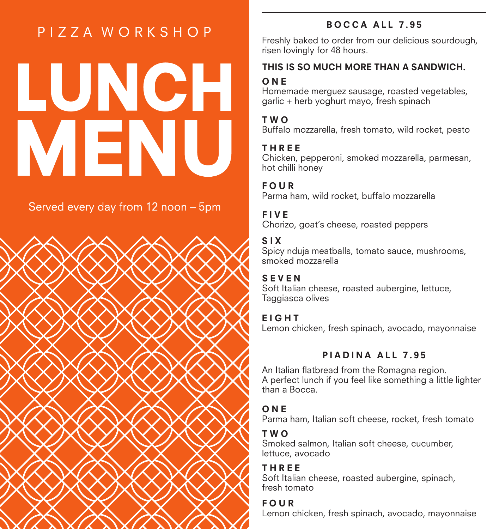# PIZZA WORKSHOP

# LUNCH MENU

Served every day from 12 noon - 5pm



# BOCCA ALL 7.95

Freshly baked to order from our delicious sourdough, risen lovingly for 48 hours.

### THIS IS SO MUCH MORE THAN A SANDWICH.

# O<sub>NE</sub>

Homemade merguez sausage, roasted vegetables, garlic + herb yoghurt mayo, fresh spinach

### TWO

Buffalo mozzarella, fresh tomato, wild rocket, pesto

### THREE

Chicken, pepperoni, smoked mozzarella, parmesan, hot chilli honey

### FOUR

Parma ham, wild rocket, buffalo mozzarella

# FIVE

Chorizo, goat's cheese, roasted peppers

# SIX

Spicy nduja meatballs, tomato sauce, mushrooms, smoked mozzarella

### SEVEN

Soft Italian cheese, roasted aubergine, lettuce, Taggiasca olives

# EIGHT

Lemon chicken, fresh spinach, avocado, mayonnaise

# PIADINA ALL 7.95

An Italian flatbread from the Romagna region. A perfect lunch if you feel like something a little lighter than a Bocca.

# O<sub>NE</sub>

Parma ham, Italian soft cheese, rocket, fresh tomato

# TWO

Smoked salmon, Italian soft cheese, cucumber, lettuce, avocado

# THREE

Soft Italian cheese, roasted aubergine, spinach, fresh tomato

# FOUR

Lemon chicken, fresh spinach, avocado, mayonnaise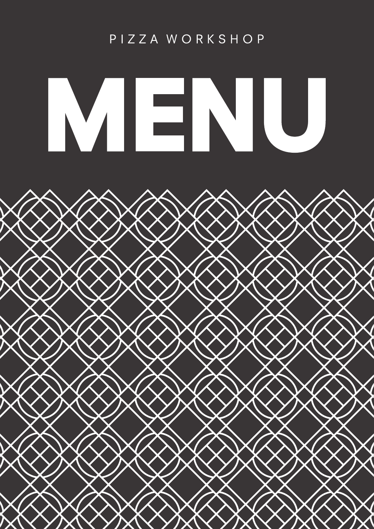# PIZZA WORKSHOP

# MENU

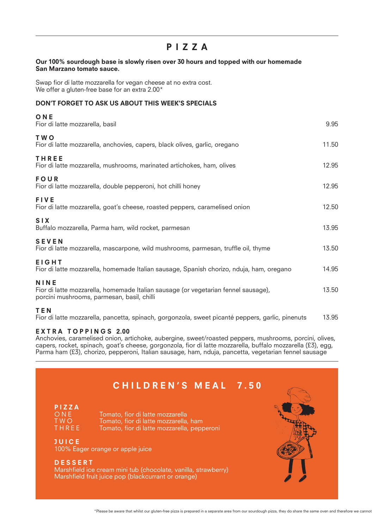# PIZZA

### Our 100% sourdough base is slowly risen over 30 hours and topped with our homemade San Marzano tomato sauce.

Swap fior di latte mozzarella for vegan cheese at no extra cost. We offer a gluten-free base for an extra 2.00\*

# DON'T FORGET TO ASK US ABOUT THIS WEEK'S SPECIALS

| ONE<br>Fior di latte mozzarella, basil                                                                                                          | 9.95  |
|-------------------------------------------------------------------------------------------------------------------------------------------------|-------|
| T W O<br>Fior di latte mozzarella, anchovies, capers, black olives, garlic, oregano                                                             | 11.50 |
| THREE<br>Fior di latte mozzarella, mushrooms, marinated artichokes, ham, olives                                                                 | 12.95 |
| FOUR<br>Fior di latte mozzarella, double pepperoni, hot chilli honey                                                                            | 12.95 |
| <b>FIVE</b><br>Fior di latte mozzarella, goat's cheese, roasted peppers, caramelised onion                                                      | 12.50 |
| <b>SIX</b><br>Buffalo mozzarella, Parma ham, wild rocket, parmesan                                                                              | 13.95 |
| <b>SEVEN</b><br>Fior di latte mozzarella, mascarpone, wild mushrooms, parmesan, truffle oil, thyme                                              | 13.50 |
| <b>EIGHT</b><br>Fior di latte mozzarella, homemade Italian sausage, Spanish chorizo, nduja, ham, oregano                                        | 14.95 |
| <b>NINE</b><br>Fior di latte mozzarella, homemade Italian sausage (or vegetarian fennel sausage),<br>porcini mushrooms, parmesan, basil, chilli | 13.50 |
| TFN                                                                                                                                             |       |

Fior di latte mozzarella, pancetta, spinach, gorgonzola, sweet picanté peppers, garlic, pinenuts 13.95

### EXTRA TOPPINGS 2.00

Anchovies, caramelised onion, artichoke, aubergine, sweet/roasted peppers, mushrooms, porcini, olives, capers, rocket, spinach, goat's cheese, gorgonzola, fior di latte mozzarella, buffalo mozzarella (£3), egg, Parma ham (£3), chorizo, pepperoni, Italian sausage, ham, nduja, pancetta, vegetarian fennel sausage

# PIZZA<br>ONE ONE Tomato, fior di latte mozzarella<br>TWO Tomato, fior di latte mozzarella, TWO Tomato, fior di latte mozzarella, ham<br>THREE Tomato, fior di latte mozzarella, pepp Tomato, fior di latte mozzarella, pepperoni JUICE 100% Eager orange or apple juice DESSERT Marshfield ice cream mini tub (chocolate, vanilla, strawberry) Marshfield fruit juice pop (blackcurrant or orange) CHILDREN'S MEAL 7.50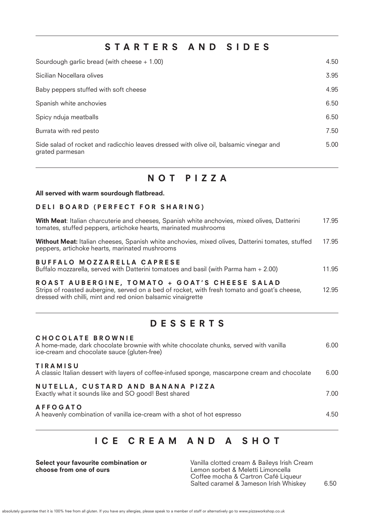# STARTERS AND SIDES

| Sourdough garlic bread (with cheese $+ 1.00$ )                                                            | 4.50 |
|-----------------------------------------------------------------------------------------------------------|------|
| Sicilian Nocellara olives                                                                                 | 3.95 |
| Baby peppers stuffed with soft cheese                                                                     | 4.95 |
| Spanish white anchovies                                                                                   | 6.50 |
| Spicy nduja meatballs                                                                                     | 6.50 |
| Burrata with red pesto                                                                                    | 7.50 |
| Side salad of rocket and radicchio leaves dressed with olive oil, balsamic vinegar and<br>grated parmesan | 5.00 |

# NOT PIZZA

### All served with warm sourdough flatbread.

### DELI BOARD (PERFECT FOR SHARING)

| With Meat: Italian charcuterie and cheeses, Spanish white anchovies, mixed olives, Datterini<br>tomates, stuffed peppers, artichoke hearts, marinated mushrooms                                               | 17.95 |
|---------------------------------------------------------------------------------------------------------------------------------------------------------------------------------------------------------------|-------|
| Without Meat: Italian cheeses, Spanish white anchovies, mixed olives, Datterini tomates, stuffed<br>peppers, artichoke hearts, marinated mushrooms                                                            | 17.95 |
| BUFFALO MOZZARELLA CAPRESE<br>Buffalo mozzarella, served with Datterini tomatoes and basil (with Parma ham + 2.00)                                                                                            | 11.95 |
| ROAST AUBERGINE, TOMATO + GOAT'S CHEESE SALAD<br>Strips of roasted aubergine, served on a bed of rocket, with fresh tomato and goat's cheese,<br>dressed with chilli, mint and red onion balsamic vinaigrette | 12.95 |

# DESSERTS

| CHOCOLATE BROWNIE<br>A home-made, dark chocolate brownie with white chocolate chunks, served with vanilla<br>ice-cream and chocolate sauce (gluten-free) | 6.00 |
|----------------------------------------------------------------------------------------------------------------------------------------------------------|------|
| <b>TIRAMISU</b><br>A classic Italian dessert with layers of coffee-infused sponge, mascarpone cream and chocolate                                        | 6.00 |
| NUTELLA, CUSTARD AND BANANA PIZZA<br>Exactly what it sounds like and SO good! Best shared                                                                | 7.00 |
| <b>AFFOGATO</b><br>A heavenly combination of vanilla ice-cream with a shot of hot espresso                                                               | 4.50 |

# ICE CREAM AND A SHOT

Select your favourite combination or choose from one of ours

Vanilla clotted cream & Baileys Irish Cream Lemon sorbet & Meletti Limoncella Coffee mocha & Cartron Café Liqueur Salted caramel & Jameson Irish Whiskey 6.50